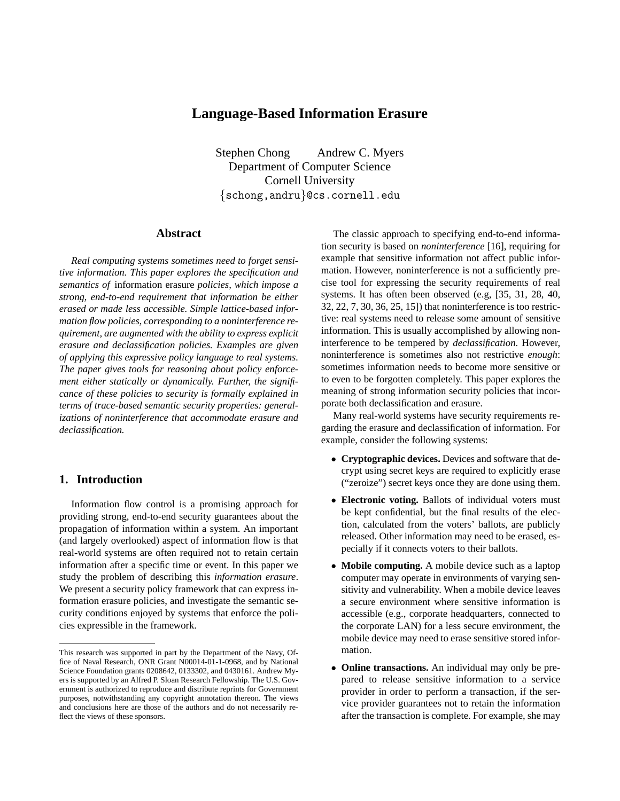# **Language-Based Information Erasure**

Stephen Chong Andrew C. Myers Department of Computer Science Cornell University {schong,andru}@cs.cornell.edu

# **Abstract**

*Real computing systems sometimes need to forget sensitive information. This paper explores the specification and semantics of* information erasure *policies, which impose a strong, end-to-end requirement that information be either erased or made less accessible. Simple lattice-based information flow policies, corresponding to a noninterference requirement, are augmented with the ability to express explicit erasure and declassification policies. Examples are given of applying this expressive policy language to real systems. The paper gives tools for reasoning about policy enforcement either statically or dynamically. Further, the significance of these policies to security is formally explained in terms of trace-based semantic security properties: generalizations of noninterference that accommodate erasure and declassification.*

### **1. Introduction**

Information flow control is a promising approach for providing strong, end-to-end security guarantees about the propagation of information within a system. An important (and largely overlooked) aspect of information flow is that real-world systems are often required not to retain certain information after a specific time or event. In this paper we study the problem of describing this *information erasure*. We present a security policy framework that can express information erasure policies, and investigate the semantic security conditions enjoyed by systems that enforce the policies expressible in the framework.

The classic approach to specifying end-to-end information security is based on *noninterference* [16], requiring for example that sensitive information not affect public information. However, noninterference is not a sufficiently precise tool for expressing the security requirements of real systems. It has often been observed (e.g, [35, 31, 28, 40, 32, 22, 7, 30, 36, 25, 15]) that noninterference is too restrictive: real systems need to release some amount of sensitive information. This is usually accomplished by allowing noninterference to be tempered by *declassification*. However, noninterference is sometimes also not restrictive *enough*: sometimes information needs to become more sensitive or to even to be forgotten completely. This paper explores the meaning of strong information security policies that incorporate both declassification and erasure.

Many real-world systems have security requirements regarding the erasure and declassification of information. For example, consider the following systems:

- **Cryptographic devices.** Devices and software that decrypt using secret keys are required to explicitly erase ("zeroize") secret keys once they are done using them.
- **Electronic voting.** Ballots of individual voters must be kept confidential, but the final results of the election, calculated from the voters' ballots, are publicly released. Other information may need to be erased, especially if it connects voters to their ballots.
- **Mobile computing.** A mobile device such as a laptop computer may operate in environments of varying sensitivity and vulnerability. When a mobile device leaves a secure environment where sensitive information is accessible (e.g., corporate headquarters, connected to the corporate LAN) for a less secure environment, the mobile device may need to erase sensitive stored information.
- **Online transactions.** An individual may only be prepared to release sensitive information to a service provider in order to perform a transaction, if the service provider guarantees not to retain the information after the transaction is complete. For example, she may

This research was supported in part by the Department of the Navy, Office of Naval Research, ONR Grant N00014-01-1-0968, and by National Science Foundation grants 0208642, 0133302, and 0430161. Andrew Myers is supported by an Alfred P. Sloan Research Fellowship. The U.S. Government is authorized to reproduce and distribute reprints for Government purposes, notwithstanding any copyright annotation thereon. The views and conclusions here are those of the authors and do not necessarily reflect the views of these sponsors.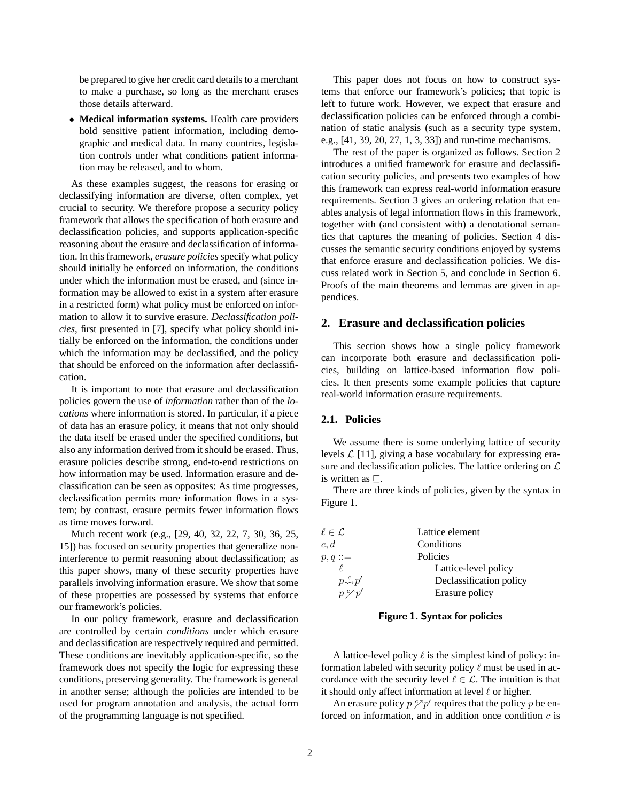be prepared to give her credit card details to a merchant to make a purchase, so long as the merchant erases those details afterward.

• **Medical information systems.** Health care providers hold sensitive patient information, including demographic and medical data. In many countries, legislation controls under what conditions patient information may be released, and to whom.

As these examples suggest, the reasons for erasing or declassifying information are diverse, often complex, yet crucial to security. We therefore propose a security policy framework that allows the specification of both erasure and declassification policies, and supports application-specific reasoning about the erasure and declassification of information. In this framework, *erasure policies* specify what policy should initially be enforced on information, the conditions under which the information must be erased, and (since information may be allowed to exist in a system after erasure in a restricted form) what policy must be enforced on information to allow it to survive erasure. *Declassification policies*, first presented in [7], specify what policy should initially be enforced on the information, the conditions under which the information may be declassified, and the policy that should be enforced on the information after declassification.

It is important to note that erasure and declassification policies govern the use of *information* rather than of the *locations* where information is stored. In particular, if a piece of data has an erasure policy, it means that not only should the data itself be erased under the specified conditions, but also any information derived from it should be erased. Thus, erasure policies describe strong, end-to-end restrictions on how information may be used. Information erasure and declassification can be seen as opposites: As time progresses, declassification permits more information flows in a system; by contrast, erasure permits fewer information flows as time moves forward.

Much recent work (e.g., [29, 40, 32, 22, 7, 30, 36, 25, 15]) has focused on security properties that generalize noninterference to permit reasoning about declassification; as this paper shows, many of these security properties have parallels involving information erasure. We show that some of these properties are possessed by systems that enforce our framework's policies.

In our policy framework, erasure and declassification are controlled by certain *conditions* under which erasure and declassification are respectively required and permitted. These conditions are inevitably application-specific, so the framework does not specify the logic for expressing these conditions, preserving generality. The framework is general in another sense; although the policies are intended to be used for program annotation and analysis, the actual form of the programming language is not specified.

This paper does not focus on how to construct systems that enforce our framework's policies; that topic is left to future work. However, we expect that erasure and declassification policies can be enforced through a combination of static analysis (such as a security type system, e.g., [41, 39, 20, 27, 1, 3, 33]) and run-time mechanisms.

The rest of the paper is organized as follows. Section 2 introduces a unified framework for erasure and declassification security policies, and presents two examples of how this framework can express real-world information erasure requirements. Section 3 gives an ordering relation that enables analysis of legal information flows in this framework, together with (and consistent with) a denotational semantics that captures the meaning of policies. Section 4 discusses the semantic security conditions enjoyed by systems that enforce erasure and declassification policies. We discuss related work in Section 5, and conclude in Section 6. Proofs of the main theorems and lemmas are given in appendices.

### **2. Erasure and declassification policies**

This section shows how a single policy framework can incorporate both erasure and declassification policies, building on lattice-based information flow policies. It then presents some example policies that capture real-world information erasure requirements.

### **2.1. Policies**

We assume there is some underlying lattice of security levels  $\mathcal{L}$  [11], giving a base vocabulary for expressing erasure and declassification policies. The lattice ordering on  $\mathcal L$ is written as  $\Box$ .

There are three kinds of policies, given by the syntax in Figure 1.

| $\ell \in \mathcal{L}$                                            | Lattice element         |
|-------------------------------------------------------------------|-------------------------|
| c, d                                                              | Conditions              |
| $p, q ::=$                                                        | Policies                |
|                                                                   | Lattice-level policy    |
| $p \overset{c}{\leadsto} p'$<br>$p \overset{c}{\cancel{\sim}} p'$ | Declassification policy |
|                                                                   | Erasure policy          |

#### Figure 1. Syntax for policies

A lattice-level policy  $\ell$  is the simplest kind of policy: information labeled with security policy  $\ell$  must be used in accordance with the security level  $\ell \in \mathcal{L}$ . The intuition is that it should only affect information at level  $\ell$  or higher.

An erasure policy  $p \nless p'p'$  requires that the policy p be enforced on information, and in addition once condition  $c$  is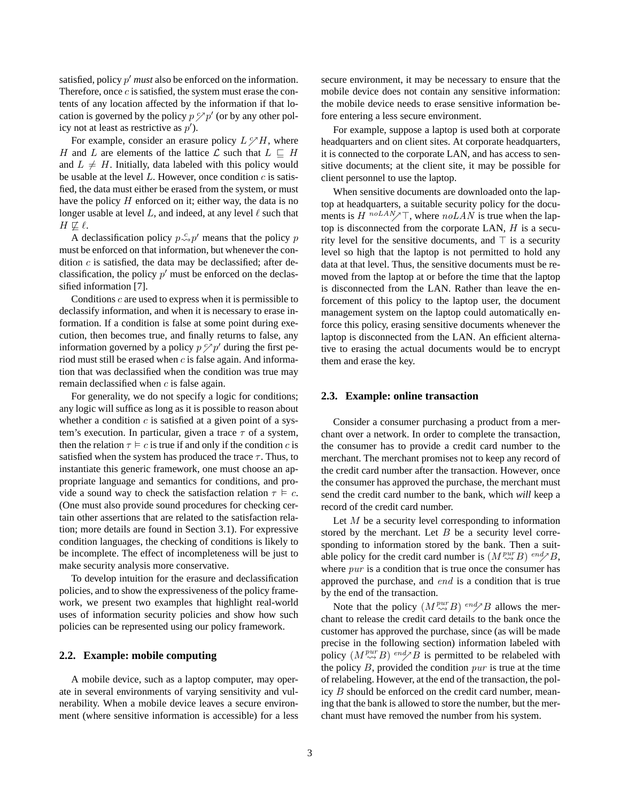satisfied, policy  $p'$  *must* also be enforced on the information. Therefore, once  $c$  is satisfied, the system must erase the contents of any location affected by the information if that location is governed by the policy  $p \nless p'p'$  (or by any other policy not at least as restrictive as  $p'$ ).

For example, consider an erasure policy  $L \mathcal{G}H$ , where H and L are elements of the lattice  $\mathcal L$  such that  $L \subseteq H$ and  $L \neq H$ . Initially, data labeled with this policy would be usable at the level  $L$ . However, once condition  $c$  is satisfied, the data must either be erased from the system, or must have the policy  $H$  enforced on it; either way, the data is no longer usable at level L, and indeed, at any level  $\ell$  such that  $H \not\sqsubset \ell$ .

A declassification policy  $p \rightarrow \infty$  means that the policy p must be enforced on that information, but whenever the condition  $c$  is satisfied, the data may be declassified; after declassification, the policy  $p'$  must be enforced on the declassified information [7].

Conditions  $c$  are used to express when it is permissible to declassify information, and when it is necessary to erase information. If a condition is false at some point during execution, then becomes true, and finally returns to false, any information governed by a policy  $p \nless p'p'$  during the first period must still be erased when  $c$  is false again. And information that was declassified when the condition was true may remain declassified when  $c$  is false again.

For generality, we do not specify a logic for conditions; any logic will suffice as long as it is possible to reason about whether a condition  $c$  is satisfied at a given point of a system's execution. In particular, given a trace  $\tau$  of a system, then the relation  $\tau \models c$  is true if and only if the condition c is satisfied when the system has produced the trace  $\tau$ . Thus, to instantiate this generic framework, one must choose an appropriate language and semantics for conditions, and provide a sound way to check the satisfaction relation  $\tau \models c$ . (One must also provide sound procedures for checking certain other assertions that are related to the satisfaction relation; more details are found in Section 3.1). For expressive condition languages, the checking of conditions is likely to be incomplete. The effect of incompleteness will be just to make security analysis more conservative.

To develop intuition for the erasure and declassification policies, and to show the expressiveness of the policy framework, we present two examples that highlight real-world uses of information security policies and show how such policies can be represented using our policy framework.

### **2.2. Example: mobile computing**

A mobile device, such as a laptop computer, may operate in several environments of varying sensitivity and vulnerability. When a mobile device leaves a secure environment (where sensitive information is accessible) for a less

secure environment, it may be necessary to ensure that the mobile device does not contain any sensitive information: the mobile device needs to erase sensitive information before entering a less secure environment.

For example, suppose a laptop is used both at corporate headquarters and on client sites. At corporate headquarters, it is connected to the corporate LAN, and has access to sensitive documents; at the client site, it may be possible for client personnel to use the laptop.

When sensitive documents are downloaded onto the laptop at headquarters, a suitable security policy for the documents is H  $^{noLAN}$ /T, where  $noLAN$  is true when the laptop is disconnected from the corporate LAN, H is a security level for the sensitive documents, and  $\top$  is a security level so high that the laptop is not permitted to hold any data at that level. Thus, the sensitive documents must be removed from the laptop at or before the time that the laptop is disconnected from the LAN. Rather than leave the enforcement of this policy to the laptop user, the document management system on the laptop could automatically enforce this policy, erasing sensitive documents whenever the laptop is disconnected from the LAN. An efficient alternative to erasing the actual documents would be to encrypt them and erase the key.

### **2.3. Example: online transaction**

Consider a consumer purchasing a product from a merchant over a network. In order to complete the transaction, the consumer has to provide a credit card number to the merchant. The merchant promises not to keep any record of the credit card number after the transaction. However, once the consumer has approved the purchase, the merchant must send the credit card number to the bank, which *will* keep a record of the credit card number.

Let  $M$  be a security level corresponding to information stored by the merchant. Let  $B$  be a security level corresponding to information stored by the bank. Then a suitable policy for the credit card number is  $(M^{pur}_{\leadsto} B)^{end}$   $\geq B$ , where *pur* is a condition that is true once the consumer has approved the purchase, and end is a condition that is true by the end of the transaction.

Note that the policy  $(M^{pur}_{\leadsto} B)$   $^{end}$  B allows the merchant to release the credit card details to the bank once the customer has approved the purchase, since (as will be made precise in the following section) information labeled with policy  $(M^{pur}_{\leadsto}B)^{end}$  *end* B is permitted to be relabeled with the policy  $B$ , provided the condition  $pur$  is true at the time of relabeling. However, at the end of the transaction, the policy B should be enforced on the credit card number, meaning that the bank is allowed to store the number, but the merchant must have removed the number from his system.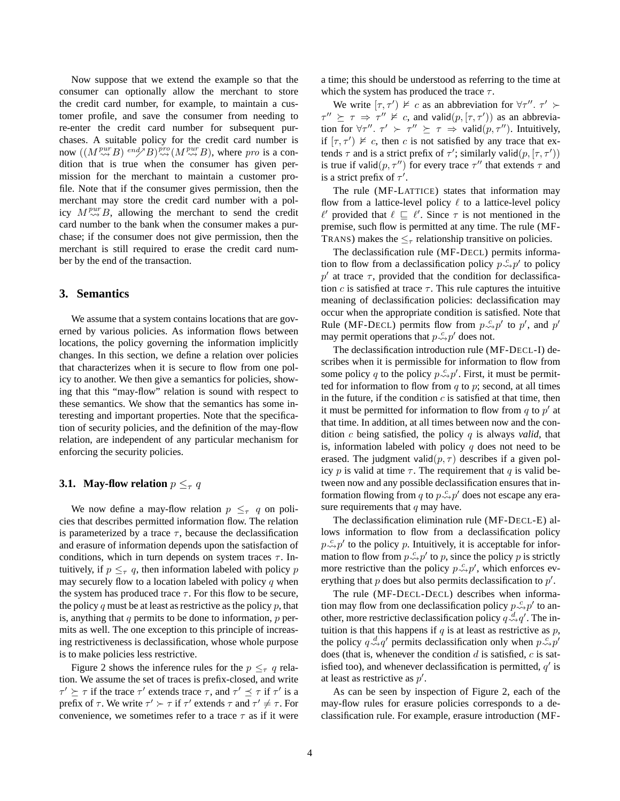Now suppose that we extend the example so that the consumer can optionally allow the merchant to store the credit card number, for example, to maintain a customer profile, and save the consumer from needing to re-enter the credit card number for subsequent purchases. A suitable policy for the credit card number is now  $((M^{pur}_{\leadsto B})^{end}$ <sup>*end*</sup> $(B)$ <sup>pro</sup> $(\overset{pur}{\leadsto} B)$ , where pro is a condition that is true when the consumer has given permission for the merchant to maintain a customer profile. Note that if the consumer gives permission, then the merchant may store the credit card number with a policy  $M^{pur}_{\sim}B$ , allowing the merchant to send the credit card number to the bank when the consumer makes a purchase; if the consumer does not give permission, then the merchant is still required to erase the credit card number by the end of the transaction.

### **3. Semantics**

We assume that a system contains locations that are governed by various policies. As information flows between locations, the policy governing the information implicitly changes. In this section, we define a relation over policies that characterizes when it is secure to flow from one policy to another. We then give a semantics for policies, showing that this "may-flow" relation is sound with respect to these semantics. We show that the semantics has some interesting and important properties. Note that the specification of security policies, and the definition of the may-flow relation, are independent of any particular mechanism for enforcing the security policies.

### **3.1. May-flow relation**  $p \leq_T q$

We now define a may-flow relation  $p \leq_{\tau} q$  on policies that describes permitted information flow. The relation is parameterized by a trace  $\tau$ , because the declassification and erasure of information depends upon the satisfaction of conditions, which in turn depends on system traces  $\tau$ . Intuitively, if  $p \leq_{\tau} q$ , then information labeled with policy p may securely flow to a location labeled with policy  $q$  when the system has produced trace  $\tau$ . For this flow to be secure, the policy q must be at least as restrictive as the policy  $p$ , that is, anything that  $q$  permits to be done to information,  $p$  permits as well. The one exception to this principle of increasing restrictiveness is declassification, whose whole purpose is to make policies less restrictive.

Figure 2 shows the inference rules for the  $p \leq_{\tau} q$  relation. We assume the set of traces is prefix-closed, and write  $\tau' \succeq \tau$  if the trace  $\tau'$  extends trace  $\tau$ , and  $\tau' \preceq \tau$  if  $\tau'$  is a prefix of  $\tau$ . We write  $\tau' \succ \tau$  if  $\tau'$  extends  $\tau$  and  $\tau' \neq \tau$ . For convenience, we sometimes refer to a trace  $\tau$  as if it were a time; this should be understood as referring to the time at which the system has produced the trace  $\tau$ .

We write  $[\tau, \tau') \not\vDash c$  as an abbreviation for  $\forall \tau''$ .  $\tau' \succ$  $\tau'' \succeq \tau \Rightarrow \tau'' \nvDash c$ , and valid $(p, [\tau, \tau'))$  as an abbreviation for  $\forall \tau'' \cdot \tau' > \tau'' \succeq \tau \Rightarrow$  valid $(p, \tau'')$ . Intuitively, if  $[\tau, \tau'] \not\vDash c$ , then c is not satisfied by any trace that extends  $\tau$  and is a strict prefix of  $\tau'$ ; similarly valid $(p, [\tau, \tau'])$ is true if valid $(p, \tau'')$  for every trace  $\tau''$  that extends  $\tau$  and is a strict prefix of  $\tau'$ .

The rule (MF-LATTICE) states that information may flow from a lattice-level policy  $\ell$  to a lattice-level policy  $\ell'$  provided that  $\ell \sqsubseteq \ell'$ . Since  $\tau$  is not mentioned in the premise, such flow is permitted at any time. The rule (MF-TRANS) makes the  $\leq_{\tau}$  relationship transitive on policies.

The declassification rule (MF-DECL) permits information to flow from a declassification policy  $p \rightarrow \gamma p'$  to policy p' at trace  $\tau$ , provided that the condition for declassification c is satisfied at trace  $\tau$ . This rule captures the intuitive meaning of declassification policies: declassification may occur when the appropriate condition is satisfied. Note that Rule (MF-DECL) permits flow from  $p \rightarrow p'$  to p', and p' may permit operations that  $p \rightarrow \infty p'$  does not.

The declassification introduction rule (MF-DECL-I) describes when it is permissible for information to flow from some policy q to the policy  $p \rightarrow p'$ . First, it must be permitted for information to flow from  $q$  to  $p$ ; second, at all times in the future, if the condition  $c$  is satisfied at that time, then it must be permitted for information to flow from  $q$  to  $p'$  at that time. In addition, at all times between now and the condition c being satisfied, the policy q is always *valid*, that is, information labeled with policy  $q$  does not need to be erased. The judgment valid $(p, \tau)$  describes if a given policy p is valid at time  $\tau$ . The requirement that q is valid between now and any possible declassification ensures that information flowing from q to  $p \stackrel{c}{\leadsto} p'$  does not escape any erasure requirements that  $q$  may have.

The declassification elimination rule (MF-DECL-E) allows information to flow from a declassification policy  $p \rightarrow{\mathcal{C}} p'$  to the policy p. Intuitively, it is acceptable for information to flow from  $p \stackrel{c}{\leadsto} p'$  to p, since the policy p is strictly more restrictive than the policy  $p \rightarrow{\mathcal{C}} p'$ , which enforces everything that  $p$  does but also permits declassification to  $p'$ .

The rule (MF-DECL-DECL) describes when information may flow from one declassification policy  $p \rightarrow p'$  to another, more restrictive declassification policy  $q \stackrel{d}{\leadsto} q'$ . The intuition is that this happens if  $q$  is at least as restrictive as  $p$ , the policy  $q \stackrel{d}{\leadsto} q'$  permits declassification only when  $p \stackrel{c}{\leadsto} p'$ does (that is, whenever the condition  $d$  is satisfied,  $c$  is satisfied too), and whenever declassification is permitted,  $q'$  is at least as restrictive as  $p'$ .

As can be seen by inspection of Figure 2, each of the may-flow rules for erasure policies corresponds to a declassification rule. For example, erasure introduction (MF-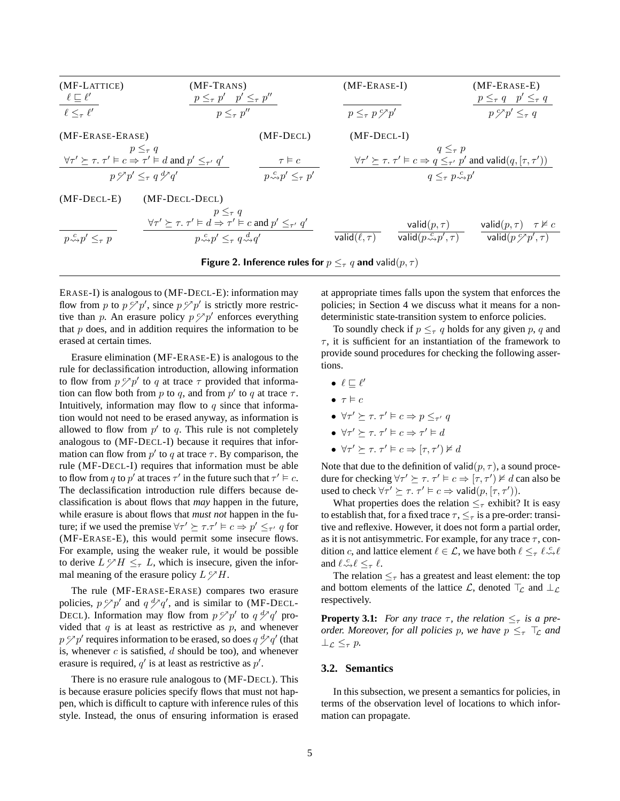| (MF-LATTICE)                                                                                    | (MF-TRANS)                                                                                      | (MF-ERASE-I)                                                                                                  | (MF-ERASE-E)                                                                                    |                                           |                         |                                           |
|-------------------------------------------------------------------------------------------------|-------------------------------------------------------------------------------------------------|---------------------------------------------------------------------------------------------------------------|-------------------------------------------------------------------------------------------------|-------------------------------------------|-------------------------|-------------------------------------------|
| $\ell \subseteq \ell'$                                                                          | $p \leq_{\tau} p' p' \leq_{\tau} p''$                                                           | $p \leq_{\tau} p \leq_{\tau} p'$                                                                              | $p \leq_{\tau} q p' \leq_{\tau} q$                                                              |                                           |                         |                                           |
| (MF-ERASE-ERASE)                                                                                | (MF-DECL)                                                                                       | (MF-DECL-I)                                                                                                   | $q \leq_{\tau} p$                                                                               |                                           |                         |                                           |
| $\forall \tau' \geq \tau, \tau' \models c \Rightarrow \tau' \models d$ and $p' \leq_{\tau'} q'$ | $\tau \models c$                                                                                | $\forall \tau' \geq \tau, \tau' \models c \Rightarrow q \leq_{\tau'} p'$ and $\text{valid}(q, [\tau, \tau'))$ |                                                                                                 |                                           |                         |                                           |
| (MF-DECL-E)                                                                                     | (MF-DECL-DECL)                                                                                  | $p \leq_{\tau} q$                                                                                             | $\forall \tau' \geq \tau, \tau' \models c \Rightarrow q \leq_{\tau'} p'$                        |                                           |                         |                                           |
| (MF-DECL-E)                                                                                     | (MF-DECL-DECL)                                                                                  | $p \leq_{\tau} q$                                                                                             | $\forall \tau' \geq \tau, \tau' \models d \Rightarrow \tau' \models c$ and $p' \leq_{\tau'} q'$ | $\text{valid}(\ell, \tau)$                | $\text{valid}(p, \tau)$ | $\text{valid}(p, \tau) \quad \tau \neq c$ |
| $p \leq_{\tau} p$                                                                               | $\forall \tau' \geq \tau, \tau' \models d \Rightarrow \tau' \models c$ and $p' \leq_{\tau'} q'$ | $\text{valid}(\ell, \tau)$                                                                                    | $\text{valid}(p, \tau)$                                                                         | $\text{valid}(p, \tau) \quad \tau \neq c$ |                         |                                           |

**Figure 2. Inference rules for**  $p \leq_{\tau} q$  and valid $(p, \tau)$ 

ERASE-I) is analogous to (MF-DECL-E): information may flow from p to  $p \nless p'p'$ , since  $p \nless p'p'$  is strictly more restrictive than p. An erasure policy  $p \nless p'p'$  enforces everything that  $p$  does, and in addition requires the information to be erased at certain times.

Erasure elimination (MF-ERASE-E) is analogous to the rule for declassification introduction, allowing information to flow from  $p \nless p'p'$  to q at trace  $\tau$  provided that information can flow both from p to q, and from p' to q at trace  $\tau$ . Intuitively, information may flow to  $q$  since that information would not need to be erased anyway, as information is allowed to flow from  $p'$  to q. This rule is not completely analogous to (MF-DECL-I) because it requires that information can flow from  $p'$  to q at trace  $\tau$ . By comparison, the rule (MF-DECL-I) requires that information must be able to flow from q to p' at traces  $\tau'$  in the future such that  $\tau' \models c$ . The declassification introduction rule differs because declassification is about flows that *may* happen in the future, while erasure is about flows that *must not* happen in the future; if we used the premise  $\forall \tau' \succeq \tau . \tau' \models c \Rightarrow p' \leq_{\tau'} q$  for (MF-ERASE-E), this would permit some insecure flows. For example, using the weaker rule, it would be possible to derive  $L \swarrow H \leq_{\tau} L$ , which is insecure, given the informal meaning of the erasure policy  $L \mathcal{L} H$ .

The rule (MF-ERASE-ERASE) compares two erasure policies,  $p \nless p'p'$  and  $q \nless q'q'$ , and is similar to (MF-DECL-DECL). Information may flow from  $p \nless p'p'$  to  $q \nless q'q'$  provided that  $q$  is at least as restrictive as  $p$ , and whenever  $p \nless p'p'$  requires information to be erased, so does  $q \frac{d}{d}q'$  (that is, whenever  $c$  is satisfied,  $d$  should be too), and whenever erasure is required,  $q'$  is at least as restrictive as  $p'$ .

There is no erasure rule analogous to (MF-DECL). This is because erasure policies specify flows that must not happen, which is difficult to capture with inference rules of this style. Instead, the onus of ensuring information is erased at appropriate times falls upon the system that enforces the policies; in Section 4 we discuss what it means for a nondeterministic state-transition system to enforce policies.

To soundly check if  $p \leq_{\tau} q$  holds for any given p, q and  $\tau$ , it is sufficient for an instantiation of the framework to provide sound procedures for checking the following assertions.

- $\bullet \ell \sqsubseteq \ell'$
- $\bullet \tau \models c$
- $\forall \tau' \succeq \tau$ .  $\tau' \vDash c \Rightarrow p \leq_{\tau'} q$
- $\forall \tau' \succeq \tau. \ \tau' \vDash c \Rightarrow \tau' \vDash d$
- $\forall \tau' \succeq \tau$ .  $\tau' \models c \Rightarrow [\tau, \tau') \not\vDash d$

Note that due to the definition of valid $(p, \tau)$ , a sound procedure for checking  $\forall \tau' \succeq \tau$ .  $\tau' \models c \Rightarrow [\tau, \tau') \not\vDash d$  can also be used to check  $\forall \tau' \succeq \tau$ .  $\tau' \vDash c \Rightarrow$  valid $(p, \lceil \tau, \tau' \rceil)$ .

What properties does the relation  $\leq_\tau$  exhibit? It is easy to establish that, for a fixed trace  $\tau$ ,  $\leq_{\tau}$  is a pre-order: transitive and reflexive. However, it does not form a partial order, as it is not antisymmetric. For example, for any trace  $\tau$ , condition c, and lattice element  $\ell \in \mathcal{L}$ , we have both  $\ell \leq_{\tau} \ell \overset{c}{\leadsto} \ell$ and  $\ell \stackrel{c}{\leadsto} \ell \leq_{\tau} \ell$ .

The relation  $\leq_{\tau}$  has a greatest and least element: the top and bottom elements of the lattice  $\mathcal{L}$ , denoted  $\top_{\mathcal{L}}$  and  $\bot_{\mathcal{L}}$ respectively.

**Property 3.1:** *For any trace*  $\tau$ *, the relation*  $\leq_{\tau}$  *is a preorder. Moreover, for all policies p, we have*  $p \leq_{\tau} \mathcal{T}_{\mathcal{L}}$  *and*  $\perp$ <sub>*c*</sub>  $\leq$ <sub>*r*</sub> *p*.

## **3.2. Semantics**

In this subsection, we present a semantics for policies, in terms of the observation level of locations to which information can propagate.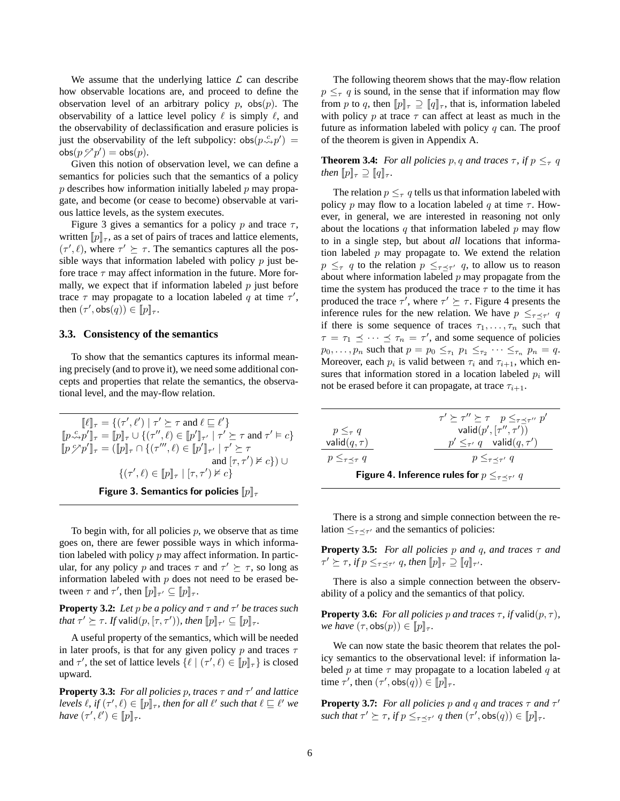We assume that the underlying lattice  $\mathcal L$  can describe how observable locations are, and proceed to define the observation level of an arbitrary policy p,  $\text{obs}(p)$ . The observability of a lattice level policy  $\ell$  is simply  $\ell$ , and the observability of declassification and erasure policies is just the observability of the left subpolicy:  $obs(p \rightarrow p')$  =  $obs(p \mathcal{P} p') = obs(p).$ 

Given this notion of observation level, we can define a semantics for policies such that the semantics of a policy  $p$  describes how information initially labeled  $p$  may propagate, and become (or cease to become) observable at various lattice levels, as the system executes.

Figure 3 gives a semantics for a policy p and trace  $\tau$ , written  $||p||_{\tau}$ , as a set of pairs of traces and lattice elements,  $(\tau', \ell)$ , where  $\tau' \succeq \tau$ . The semantics captures all the possible ways that information labeled with policy  $p$  just before trace  $\tau$  may affect information in the future. More formally, we expect that if information labeled  $p$  just before trace  $\tau$  may propagate to a location labeled q at time  $\tau'$ , then  $(\tau', \text{obs}(q)) \in [p]_{\tau}$ .

# **3.3. Consistency of the semantics**

To show that the semantics captures its informal meaning precisely (and to prove it), we need some additional concepts and properties that relate the semantics, the observational level, and the may-flow relation.

$$
\begin{aligned} [\![\ell]\!]_\tau &= \{ (\tau',\ell') \mid \tau' \succeq \tau \text{ and } \ell \sqsubseteq \ell' \} \\ [\![p\mathop{\sim}\limits^{\mathop{\sim}} p']\!]_\tau &= [\![p]\!]_\tau \cup \{ (\tau'',\ell) \in [\![p']\!]_{\tau'} \mid \tau' \succeq \tau \text{ and } \tau' \vDash c \} \\ [\![p\mathop{\not>}\limits^{\mathop{\sim}} p']\!]_\tau &= (\![p]\!]_\tau \cap \{ (\tau''',\ell) \in [\![p']\!]_{\tau'} \mid \tau' \succeq \tau \\ & \qquad \qquad \text{and } [\tau,\tau') \nvDash c \} ) \cup \\ & \{ (\tau',\ell) \in [\![p]\!]_\tau \mid [\tau,\tau') \nvDash c \} \\ \textbf{Figure 3. Semantics for policies } [\![p]\!]_\tau \end{aligned}
$$

To begin with, for all policies  $p$ , we observe that as time goes on, there are fewer possible ways in which information labeled with policy  $p$  may affect information. In particular, for any policy p and traces  $\tau$  and  $\tau' \succeq \tau$ , so long as information labeled with  $p$  does not need to be erased between  $\tau$  and  $\tau'$ , then  $[\![p]\!]_{\tau'} \subseteq [\![p]\!]_{\tau}$ .

**Property 3.2:** Let p be a policy and  $\tau$  and  $\tau'$  be traces such *that*  $\tau' \succeq \tau$ *. If* valid $(p, [\tau, \tau'))$ *, then*  $[\![p]\!]_{\tau'} \subseteq [\![p]\!]_{\tau}$ *.* 

A useful property of the semantics, which will be needed in later proofs, is that for any given policy p and traces  $\tau$ and  $\tau'$ , the set of lattice levels  $\{\ell \mid (\tau', \ell) \in [p]_{\tau}\}\$ is closed upward.

**Property 3.3:** For all policies p, traces  $\tau$  and  $\tau'$  and lattice *levels*  $\ell$ , *if*  $(\tau', \ell) \in [p]_{\tau}$ , then for all  $\ell'$  such that  $\ell \subseteq \ell'$  we *have*  $(\tau', \ell') \in [p]_{\tau}$ *.* 

The following theorem shows that the may-flow relation  $p \leq_{\tau} q$  is sound, in the sense that if information may flow from p to q, then  $[p]_{\tau} \supseteq [q]_{\tau}$ , that is, information labeled with policy p at trace  $\tau$  can affect at least as much in the future as information labeled with policy  $q$  can. The proof of the theorem is given in Appendix A.

**Theorem 3.4:** *For all policies* p, q and traces  $\tau$ , if  $p \leq_{\tau} q$ *then*  $[p]_{\tau} \supseteq [q]_{\tau}$ .

The relation  $p \leq_{\tau} q$  tells us that information labeled with policy p may flow to a location labeled q at time  $\tau$ . However, in general, we are interested in reasoning not only about the locations q that information labeled  $p$  may flow to in a single step, but about *all* locations that information labeled  $p$  may propagate to. We extend the relation  $p \leq_{\tau} q$  to the relation  $p \leq_{\tau \leq \tau'} q$ , to allow us to reason about where information labeled  $p$  may propagate from the time the system has produced the trace  $\tau$  to the time it has produced the trace  $\tau'$ , where  $\tau' \succeq \tau$ . Figure 4 presents the inference rules for the new relation. We have  $p \leq_{\tau \leq \tau'} q$ if there is some sequence of traces  $\tau_1, \ldots, \tau_n$  such that  $\tau = \tau_1 \preceq \cdots \preceq \tau_n = \tau'$ , and some sequence of policies  $p_0, \ldots, p_n$  such that  $p = p_0 \leq_{\tau_1} p_1 \leq_{\tau_2} \cdots \leq_{\tau_n} p_n = q$ . Moreover, each  $p_i$  is valid between  $\tau_i$  and  $\tau_{i+1}$ , which ensures that information stored in a location labeled  $p_i$  will not be erased before it can propagate, at trace  $\tau_{i+1}$ .

|                                                             | $\tau' \succeq \tau'' \succeq \tau$ $p \leq_{\tau \prec \tau''} p'$ |  |
|-------------------------------------------------------------|---------------------------------------------------------------------|--|
| $p \leq_\tau q$                                             | valid $(p', [\tau'', \tau'))$                                       |  |
| valid $(q, \tau)$                                           | $p' \leq_{\tau'} q$ valid $(q, \tau')$                              |  |
| $p \leq_{\tau \prec \tau} q$                                | $p \leq_{\tau \prec \tau'} q$                                       |  |
| Figure 4. Inference rules for $p \leq_{\tau \prec \tau'} q$ |                                                                     |  |

There is a strong and simple connection between the relation  $\leq_{\tau \leq \tau'}$  and the semantics of policies:

**Property 3.5:** *For all policies* p *and* q*, and traces* τ *and*  $\tau' \succeq \tau$ , if  $p \leq_{\tau \preceq \tau'} q$ , then  $[\![p]\!]_{\tau} \supseteq [\![q]\!]_{\tau'}$ .

There is also a simple connection between the observability of a policy and the semantics of that policy.

**Property 3.6:** *For all policies p and traces*  $\tau$ *, if* valid $(p, \tau)$ *, we have*  $(\tau, \text{obs}(p)) \in [p]_{\tau}$ .

We can now state the basic theorem that relates the policy semantics to the observational level: if information labeled p at time  $\tau$  may propagate to a location labeled q at time  $\tau'$ , then  $(\tau', \text{obs}(q)) \in [p]_{\tau}$ .

**Property 3.7:** For all policies p and q and traces  $\tau$  and  $\tau'$ *such that*  $\tau' \succeq \tau$ , *if*  $p \leq_{\tau \preceq \tau'} q$  *then*  $(\tau', \text{obs}(q)) \in [p]_{\tau}$ *.*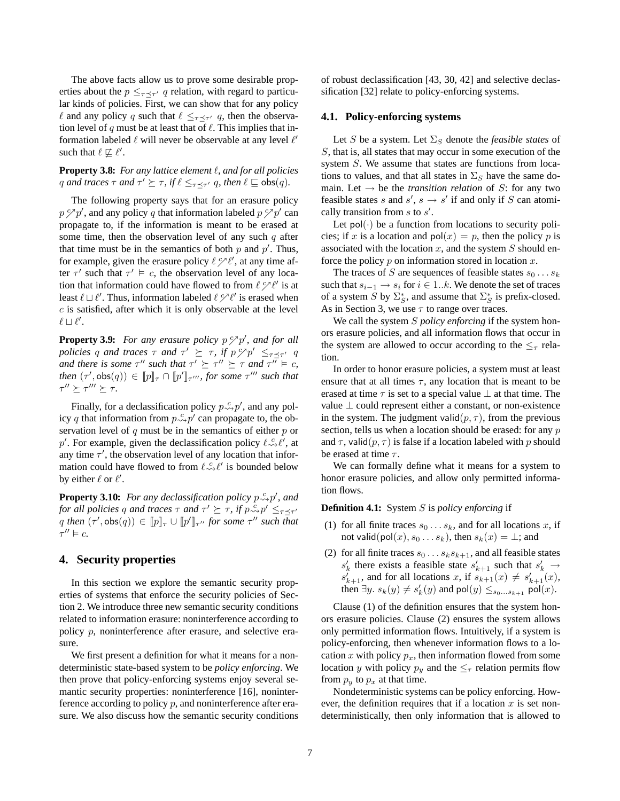The above facts allow us to prove some desirable properties about the  $p \leq_{\tau \leq \tau'} q$  relation, with regard to particular kinds of policies. First, we can show that for any policy  $\ell$  and any policy q such that  $\ell \leq_{\tau \leq \tau'} q$ , then the observation level of q must be at least that of  $\ell$ . This implies that information labeled  $\ell$  will never be observable at any level  $\ell'$ such that  $\ell \not\sqsubseteq \ell'.$ 

**Property 3.8:** *For any lattice element*  $\ell$ *, and for all policies* q and traces  $\tau$  and  $\tau' \succeq \tau$ , if  $\ell \leq_{\tau \preceq \tau'} q$ , then  $\ell \sqsubseteq \mathsf{obs}(q)$ .

The following property says that for an erasure policy  $p \nless p'p'$ , and any policy q that information labeled  $p \nless p'p'$  can propagate to, if the information is meant to be erased at some time, then the observation level of any such  $q$  after that time must be in the semantics of both  $p$  and  $p'$ . Thus, for example, given the erasure policy  $\ell \nless \ell^{\vee} \ell'$ , at any time after  $\tau'$  such that  $\tau' \vDash c$ , the observation level of any location that information could have flowed to from  $\ell \nless \ell'$  is at least  $\ell \sqcup \ell'$ . Thus, information labeled  $\ell \not\supset \ell'$  is erased when  $c$  is satisfied, after which it is only observable at the level  $\ell \sqcup \ell'.$ 

**Property 3.9:** For any erasure policy  $p \nless p'p'$ , and for all *policies* q *and traces*  $\tau$  *and*  $\tau' \geq \tau$ , *if*  $p \circ p' \leq_{\tau \preceq \tau'} q$ *and there is some*  $\tau''$  *such that*  $\tau' \succeq \tau'' \succeq \tau$  *and*  $\tau'' \models c$ , *then*  $(\tau', \text{obs}(q)) \in [p]$ <sub> $\tau$ </sub>  $\cap$   $[p']$ <sub> $\tau''$ </sub>, for some  $\tau'''$  such that  $\tau'' \succeq \tau''' \succeq \tau$ .

Finally, for a declassification policy  $p \rightarrow \gamma p'$ , and any policy q that information from  $p \stackrel{c}{\leadsto} p'$  can propagate to, the observation level of  $q$  must be in the semantics of either  $p$  or p'. For example, given the declassification policy  $\ell \rightarrow \ell'$ , at any time  $\tau'$ , the observation level of any location that information could have flowed to from  $\ell \rightarrow \ell'$  is bounded below by either  $\ell$  or  $\ell'$ .

**Property 3.10:** For any declassification policy  $p \rightarrow p'$ , and *for all policies* q and traces  $\tau$  and  $\tau' \succeq \tau$ , if  $p \stackrel{c}{\leadsto} p' \leq_{\tau \preceq \tau'} p'$ q then  $(\tau', \text{obs}(q)) \in [p]_{\tau} \cup [p']_{\tau''}$  for some  $\tau''$  such that  $\tau'' \vDash c$ .

### **4. Security properties**

In this section we explore the semantic security properties of systems that enforce the security policies of Section 2. We introduce three new semantic security conditions related to information erasure: noninterference according to policy p, noninterference after erasure, and selective erasure.

We first present a definition for what it means for a nondeterministic state-based system to be *policy enforcing*. We then prove that policy-enforcing systems enjoy several semantic security properties: noninterference [16], noninterference according to policy  $p$ , and noninterference after erasure. We also discuss how the semantic security conditions

of robust declassification [43, 30, 42] and selective declassification [32] relate to policy-enforcing systems.

#### **4.1. Policy-enforcing systems**

Let S be a system. Let  $\Sigma_S$  denote the *feasible states* of S, that is, all states that may occur in some execution of the system S. We assume that states are functions from locations to values, and that all states in  $\Sigma_S$  have the same domain. Let  $\rightarrow$  be the *transition relation* of S: for any two feasible states s and  $s'$ ,  $s \rightarrow s'$  if and only if S can atomically transition from  $s$  to  $s'$ .

Let  $pol(\cdot)$  be a function from locations to security policies; if x is a location and  $pol(x) = p$ , then the policy p is associated with the location  $x$ , and the system  $S$  should enforce the policy  $p$  on information stored in location  $x$ .

The traces of S are sequences of feasible states  $s_0 \dots s_k$ such that  $s_{i-1} \rightarrow s_i$  for  $i \in 1..k$ . We denote the set of traces of a system S by  $\Sigma_S^*$ , and assume that  $\Sigma_S^*$  is prefix-closed. As in Section 3, we use  $\tau$  to range over traces.

We call the system S *policy enforcing* if the system honors erasure policies, and all information flows that occur in the system are allowed to occur according to the  $\leq_\tau$  relation.

In order to honor erasure policies, a system must at least ensure that at all times  $\tau$ , any location that is meant to be erased at time  $\tau$  is set to a special value  $\bot$  at that time. The value ⊥ could represent either a constant, or non-existence in the system. The judgment valid $(p, \tau)$ , from the previous section, tells us when a location should be erased: for any p and  $\tau$ , valid $(p, \tau)$  is false if a location labeled with p should be erased at time  $\tau$ .

We can formally define what it means for a system to honor erasure policies, and allow only permitted information flows.

**Definition 4.1:** System S is *policy enforcing* if

- (1) for all finite traces  $s_0 \dots s_k$ , and for all locations x, if not valid(pol(x),  $s_0 \dots s_k$ ), then  $s_k(x) = \bot$ ; and
- (2) for all finite traces  $s_0 \ldots s_k s_{k+1}$ , and all feasible states  $s'_k$  there exists a feasible state  $s'_{k+1}$  such that  $s'_k \rightarrow$  $s'_{k+1}$ , and for all locations x, if  $s_{k+1}(x) \neq s'_{k+1}(x)$ , then  $\exists y. s_k(y) \neq s'_k(y)$  and  $\text{pol}(y) \leq_{s_0...s_{k+1}} \text{pol}(x)$ .

Clause (1) of the definition ensures that the system honors erasure policies. Clause (2) ensures the system allows only permitted information flows. Intuitively, if a system is policy-enforcing, then whenever information flows to a location x with policy  $p_x$ , then information flowed from some location y with policy  $p_y$  and the  $\leq_\tau$  relation permits flow from  $p_y$  to  $p_x$  at that time.

Nondeterministic systems can be policy enforcing. However, the definition requires that if a location  $x$  is set nondeterministically, then only information that is allowed to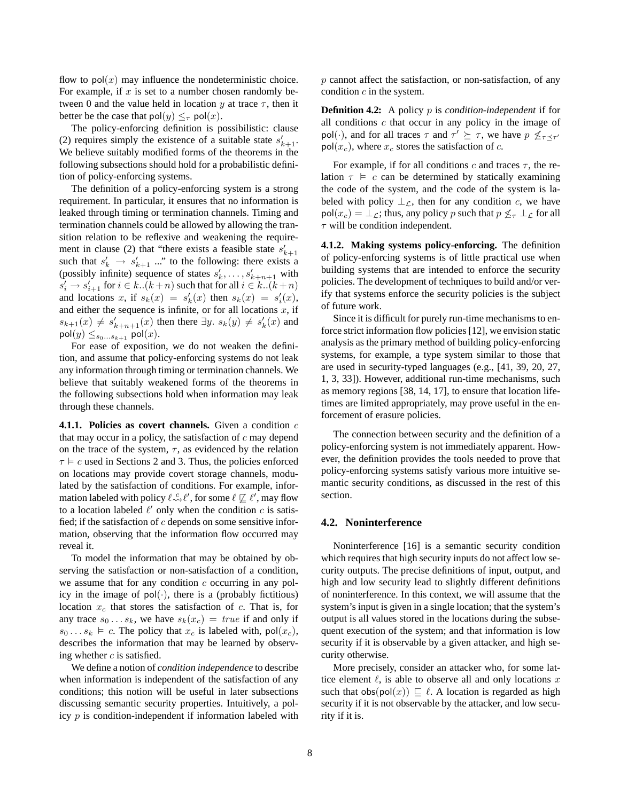flow to  $pol(x)$  may influence the nondeterministic choice. For example, if  $x$  is set to a number chosen randomly between 0 and the value held in location y at trace  $\tau$ , then it better be the case that  $\text{pol}(y) \leq_{\tau} \text{pol}(x)$ .

The policy-enforcing definition is possibilistic: clause (2) requires simply the existence of a suitable state  $s'_{k+1}$ . We believe suitably modified forms of the theorems in the following subsections should hold for a probabilistic definition of policy-enforcing systems.

The definition of a policy-enforcing system is a strong requirement. In particular, it ensures that no information is leaked through timing or termination channels. Timing and termination channels could be allowed by allowing the transition relation to be reflexive and weakening the requirement in clause (2) that "there exists a feasible state  $s'_{k+1}$ such that  $s'_k \rightarrow s'_{k+1}$  ..." to the following: there exists a (possibly infinite) sequence of states  $s'_k, \ldots, s'_{k+n+1}$  with  $s_i' \rightarrow s_{i+1}'$  for  $i \in k..(k+n)$  such that for all  $i \in k..(k+n)$ and locations x, if  $s_k(x) = s'_k(x)$  then  $s_k(x) = s'_i(x)$ , and either the sequence is infinite, or for all locations  $x$ , if  $s_{k+1}(x) \neq s'_{k+n+1}(x)$  then there  $\exists y. s_k(y) \neq s'_k(x)$  and  $\mathsf{pol}(y) \leq_{s_0...s_{k+1}} \mathsf{pol}(x).$ 

For ease of exposition, we do not weaken the definition, and assume that policy-enforcing systems do not leak any information through timing or termination channels. We believe that suitably weakened forms of the theorems in the following subsections hold when information may leak through these channels.

**4.1.1. Policies as covert channels.** Given a condition c that may occur in a policy, the satisfaction of  $c$  may depend on the trace of the system,  $\tau$ , as evidenced by the relation  $\tau \models c$  used in Sections 2 and 3. Thus, the policies enforced on locations may provide covert storage channels, modulated by the satisfaction of conditions. For example, information labeled with policy  $\ell \rightarrow \ell'$ , for some  $\ell \not\sqsubseteq \ell'$ , may flow to a location labeled  $\ell'$  only when the condition c is satisfied; if the satisfaction of  $c$  depends on some sensitive information, observing that the information flow occurred may reveal it.

To model the information that may be obtained by observing the satisfaction or non-satisfaction of a condition, we assume that for any condition  $c$  occurring in any policy in the image of  $pol(\cdot)$ , there is a (probably fictitious) location  $x_c$  that stores the satisfaction of c. That is, for any trace  $s_0 \dots s_k$ , we have  $s_k(x_c) = true$  if and only if  $s_0 \dots s_k \models c$ . The policy that  $x_c$  is labeled with, pol $(x_c)$ , describes the information that may be learned by observing whether  $c$  is satisfied.

We define a notion of *condition independence* to describe when information is independent of the satisfaction of any conditions; this notion will be useful in later subsections discussing semantic security properties. Intuitively, a policy  $p$  is condition-independent if information labeled with p cannot affect the satisfaction, or non-satisfaction, of any condition c in the system.

**Definition 4.2:** A policy p is *condition-independent* if for all conditions  $c$  that occur in any policy in the image of pol(·), and for all traces  $\tau$  and  $\tau' \succeq \tau$ , we have  $p \nleq_{\tau \preceq \tau'}$ pol( $x_c$ ), where  $x_c$  stores the satisfaction of c.

For example, if for all conditions c and traces  $\tau$ , the relation  $\tau \models c$  can be determined by statically examining the code of the system, and the code of the system is labeled with policy  $\perp_c$ , then for any condition c, we have  $\text{pol}(x_c) = \perp_c$ ; thus, any policy p such that  $p \nleq_\tau \perp_c$  for all  $\tau$  will be condition independent.

**4.1.2. Making systems policy-enforcing.** The definition of policy-enforcing systems is of little practical use when building systems that are intended to enforce the security policies. The development of techniques to build and/or verify that systems enforce the security policies is the subject of future work.

Since it is difficult for purely run-time mechanisms to enforce strict information flow policies [12], we envision static analysis as the primary method of building policy-enforcing systems, for example, a type system similar to those that are used in security-typed languages (e.g., [41, 39, 20, 27, 1, 3, 33]). However, additional run-time mechanisms, such as memory regions [38, 14, 17], to ensure that location lifetimes are limited appropriately, may prove useful in the enforcement of erasure policies.

The connection between security and the definition of a policy-enforcing system is not immediately apparent. However, the definition provides the tools needed to prove that policy-enforcing systems satisfy various more intuitive semantic security conditions, as discussed in the rest of this section.

### **4.2. Noninterference**

Noninterference [16] is a semantic security condition which requires that high security inputs do not affect low security outputs. The precise definitions of input, output, and high and low security lead to slightly different definitions of noninterference. In this context, we will assume that the system's input is given in a single location; that the system's output is all values stored in the locations during the subsequent execution of the system; and that information is low security if it is observable by a given attacker, and high security otherwise.

More precisely, consider an attacker who, for some lattice element  $\ell$ , is able to observe all and only locations x such that  $obs(pol(x)) \sqsubset \ell$ . A location is regarded as high security if it is not observable by the attacker, and low security if it is.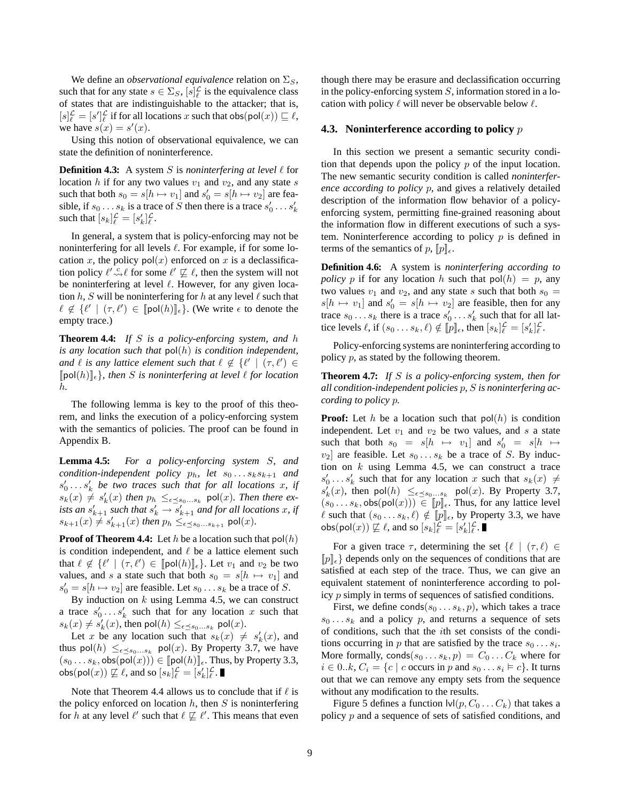We define an *observational equivalence* relation on  $\Sigma<sub>S</sub>$ , such that for any state  $s \in \Sigma_S$ ,  $[s]_\ell^{\mathcal{L}}$  is the equivalence class of states that are indistinguishable to the attacker; that is,  $[s]_{\ell}^{\mathcal{L}} = [s']_{\ell}^{\mathcal{L}}$  if for all locations x such that  $\text{obs}(\text{pol}(x)) \sqsubseteq \ell$ , we have  $s(x) = s'(x)$ .

Using this notion of observational equivalence, we can state the definition of noninterference.

**Definition 4.3:** A system S is *noninterfering at level*  $\ell$  for location h if for any two values  $v_1$  and  $v_2$ , and any state s such that both  $s_0 = s[h \mapsto v_1]$  and  $s'_0 = s[h \mapsto v_2]$  are feasible, if  $s_0 \dots s_k$  is a trace of  $\tilde{S}$  then there is a trace  $s'_0 \dots s'_k$ such that  $[s_k]_\ell^{\mathcal{L}} = [s'_k]_\ell^{\mathcal{L}}$ .

In general, a system that is policy-enforcing may not be noninterfering for all levels  $\ell$ . For example, if for some location x, the policy  $pol(x)$  enforced on x is a declassification policy  $\ell' \stackrel{c}{\leadsto} \ell$  for some  $\ell' \not\sqsubseteq \ell$ , then the system will not be noninterfering at level  $\ell$ . However, for any given location h, S will be noninterfering for h at any level  $\ell$  such that  $\ell \notin \{\ell' \mid (\tau, \ell') \in [\text{pol}(h)]_{\epsilon}\}.$  (We write  $\epsilon$  to denote the empty trace.)

**Theorem 4.4:** *If* S *is a policy-enforcing system, and* h *is any location such that* pol(h) *is condition independent, and*  $\ell$  *is any lattice element such that*  $\ell \notin {\ell' \mid (\tau, \ell') \in \mathbb{R}}$  $[\text{pol}(h)]_{\epsilon}$ , then *S* is noninterfering at level  $\ell$  for location h*.*

The following lemma is key to the proof of this theorem, and links the execution of a policy-enforcing system with the semantics of policies. The proof can be found in Appendix B.

**Lemma 4.5:** *For a policy-enforcing system* S*, and condition-independent policy*  $p_h$ *, let*  $s_0 \ldots s_k s_{k+1}$  *and*  $s'_0 \ldots s'_k$  be two traces such that for all locations x, if  $s_k(x) \neq s'_k(x)$  then  $p_h \leq_{\epsilon \leq s_0...s_k}$  pol(x). Then there ex*ists an*  $s'_{k+1}$  *such that*  $s'_{k} \rightarrow s'_{k+1}$  *and for all locations* x, if  $s_{k+1}(x) \neq s'_{k+1}(x)$  then  $p_h \leq_{\epsilon \leq s_0...s_{k+1}} \text{pol}(x)$ .

**Proof of Theorem 4.4:** Let  $h$  be a location such that  $\text{pol}(h)$ is condition independent, and  $\ell$  be a lattice element such that  $\ell \notin {\ell' \mid (\tau, \ell') \in [\text{pol}(h)]_{\epsilon}}$ . Let  $v_1$  and  $v_2$  be two values, and s a state such that both  $s_0 = s[h \mapsto v_1]$  and  $s'_0 = s[h \mapsto v_2]$  are feasible. Let  $s_0 \dots s_k$  be a trace of S.

By induction on  $k$  using Lemma 4.5, we can construct a trace  $s'_0 \dots s'_k$  such that for any location x such that  $s_k(x) \neq s'_k(x)$ , then  $\text{pol}(h) \leq_{\epsilon \leq s_0...s_k} \text{pol}(x)$ .

Let x be any location such that  $s_k(x) \neq s'_k(x)$ , and thus pol(h)  $\leq_{\epsilon \leq s_0...s_k}$  pol(x). By Property 3.7, we have  $(s_0 \ldots s_k, \text{obs}(\text{pol}(x))) \in [\text{pol}(h)]_{\epsilon}$ . Thus, by Property 3.3,  $\mathsf{obs}(\mathsf{pol}(x)) \not\sqsubseteq \ell$ , and  $\mathsf{so} \, [s_k]_{\ell}^{\mathcal{L}} = [s'_k]_{\ell}^{\mathcal{L}}$ .

Note that Theorem 4.4 allows us to conclude that if  $\ell$  is the policy enforced on location  $h$ , then  $S$  is noninterfering for h at any level  $\ell'$  such that  $\ell \not\sqsubseteq \ell'$ . This means that even

though there may be erasure and declassification occurring in the policy-enforcing system  $S$ , information stored in a location with policy  $\ell$  will never be observable below  $\ell$ .

#### **4.3. Noninterference according to policy** p

In this section we present a semantic security condition that depends upon the policy p of the input location. The new semantic security condition is called *noninterference according to policy* p, and gives a relatively detailed description of the information flow behavior of a policyenforcing system, permitting fine-grained reasoning about the information flow in different executions of such a system. Noninterference according to policy  $p$  is defined in terms of the semantics of p,  $[p]_{\epsilon}$ .

**Definition 4.6:** A system is *noninterfering according to policy* p if for any location h such that  $\text{pol}(h) = p$ , any two values  $v_1$  and  $v_2$ , and any state s such that both  $s_0 =$  $s[h \mapsto v_1]$  and  $s'_0 = s[h \mapsto v_2]$  are feasible, then for any trace  $s_0 \dots s_k$  there is a trace  $s'_0 \dots s'_k$  such that for all lattice levels  $\ell$ , if  $(s_0 \dots s_k, \ell) \notin [p]_\epsilon$ , then  $[s_k]_\ell^{\mathcal{L}} = [s'_k]_\ell^{\mathcal{L}}$ .

Policy-enforcing systems are noninterfering according to policy p, as stated by the following theorem.

**Theorem 4.7:** *If* S *is a policy-enforcing system, then for all condition-independent policies* p*,* S *is noninterfering according to policy* p*.*

**Proof:** Let h be a location such that  $\text{pol}(h)$  is condition independent. Let  $v_1$  and  $v_2$  be two values, and s a state such that both  $s_0 = s[h \mapsto v_1]$  and  $s'_0 = s[h \mapsto$  $[v_2]$  are feasible. Let  $s_0 \dots s_k$  be a trace of S. By induction on  $k$  using Lemma 4.5, we can construct a trace  $s'_0 \dots s'_k$  such that for any location x such that  $s_k(x) \neq$  $s'_k(x)$ , then pol $(h) \leq_{\epsilon \leq s_0...s_k}$  pol $(x)$ . By Property 3.7,  $(s_0 \dots s_k, \text{obs}(\text{pol}(x))) \in [p]_{\epsilon}$ . Thus, for any lattice level  $\ell$  such that  $(s_0 \ldots s_k, \ell) \notin [p]_{\epsilon}$ , by Property 3.3, we have  $\mathsf{obs}(\mathsf{pol}(x)) \not\sqsubseteq \ell$ , and  $\mathsf{so} \, [s_k]_{\ell}^{\mathcal{L}} = [s'_k]_{\ell}^{\mathcal{L}}$ .

For a given trace  $\tau$ , determining the set  $\{ \ell \mid (\tau, \ell) \in$  $[p]_{\epsilon}$  depends only on the sequences of conditions that are satisfied at each step of the trace. Thus, we can give an equivalent statement of noninterference according to policy p simply in terms of sequences of satisfied conditions.

First, we define conds( $s_0 \ldots s_k$ , p), which takes a trace  $s_0 \dots s_k$  and a policy p, and returns a sequence of sets of conditions, such that the ith set consists of the conditions occurring in p that are satisfied by the trace  $s_0 \dots s_i$ . More formally, conds $(s_0 \dots s_k, p) = C_0 \dots C_k$  where for  $i \in 0..k$ ,  $C_i = \{c \mid c \text{ occurs in } p \text{ and } s_0...s_i \models c\}$ . It turns out that we can remove any empty sets from the sequence without any modification to the results.

Figure 5 defines a function  $\text{lvl}(p, C_0 \dots C_k)$  that takes a policy  $p$  and a sequence of sets of satisfied conditions, and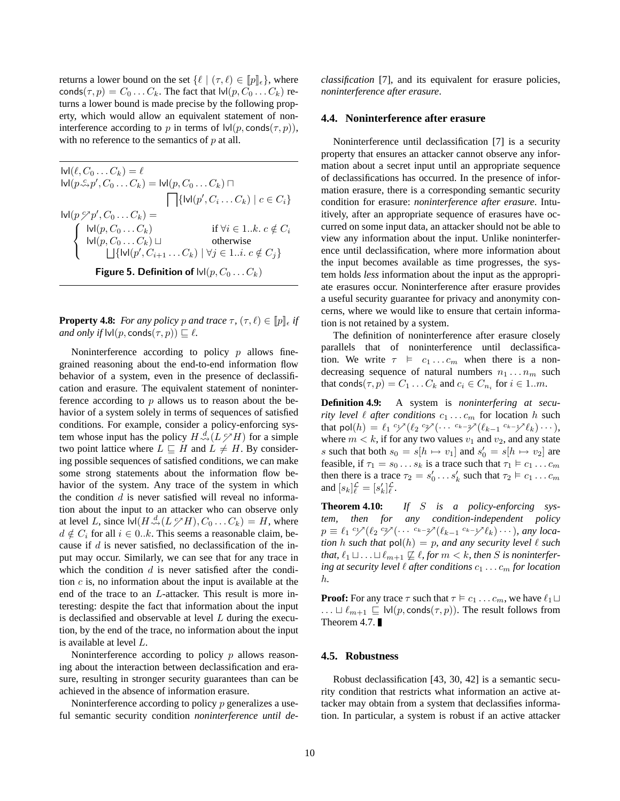returns a lower bound on the set  $\{ \ell \mid (\tau, \ell) \in [p]_{\epsilon} \}$ , where conds $(\tau, p) = C_0 \dots C_k$ . The fact that  $|v|(p, C_0 \dots C_k)$  returns a lower bound is made precise by the following property, which would allow an equivalent statement of noninterference according to p in terms of  $\text{lvl}(p, \text{conds}(\tau, p)),$ with no reference to the semantics of  $p$  at all.

 $\text{lvl}(\ell, C_0 \ldots C_k) = \ell$  $\text{lvl}(p \stackrel{c}{\leadsto} p', C_0 \ldots C_k) = \text{lvl}(p, C_0 \ldots C_k)$  $\bigcap \{ \textsf{lvl}(p', C_i \ldots C_k) \mid c \in C_i \}$  $\mathsf{Ivl}(p \mathcal{P}p', C_0 \ldots C_k) =$  $\sqrt{ }$ J  $\mathcal{L}$  $\textsf{Ivl}(p, C_0 \ldots C_k)$  if  $\forall i \in 1..k. \; c \notin C_i$  $\text{lvl}(p, C_0 \dots C_k) \sqcup \text{otherwise}$  $\bigcup \{ \text{lvl}(p', C_{i+1} \dots C_k) \mid \forall j \in 1..i. \ c \notin C_j \}$ **Figure 5. Definition of**  $\text{lvl}(p, C_0 \dots C_k)$ 

**Property 4.8:** *For any policy p and trace*  $\tau$ *,*  $(\tau, \ell) \in [p]_e$  *if and only if*  $\text{lvl}(p, \text{conds}(\tau, p)) \sqsubseteq \ell$ .

Noninterference according to policy  $p$  allows finegrained reasoning about the end-to-end information flow behavior of a system, even in the presence of declassification and erasure. The equivalent statement of noninterference according to  $p$  allows us to reason about the behavior of a system solely in terms of sequences of satisfied conditions. For example, consider a policy-enforcing system whose input has the policy  $H \stackrel{d}{\leadsto} (L \not\supset H)$  for a simple two point lattice where  $L \sqsubseteq H$  and  $L \neq H$ . By considering possible sequences of satisfied conditions, we can make some strong statements about the information flow behavior of the system. Any trace of the system in which the condition  $d$  is never satisfied will reveal no information about the input to an attacker who can observe only at level L, since  $\text{vol}(H \stackrel{d}{\leadsto} (L \not\supset H), C_0 \ldots C_k) = H$ , where  $d \notin C_i$  for all  $i \in 0..k$ . This seems a reasonable claim, because if  $d$  is never satisfied, no declassification of the input may occur. Similarly, we can see that for any trace in which the condition  $d$  is never satisfied after the condition  $c$  is, no information about the input is available at the end of the trace to an L-attacker. This result is more interesting: despite the fact that information about the input is declassified and observable at level  $L$  during the execution, by the end of the trace, no information about the input is available at level L.

Noninterference according to policy  $p$  allows reasoning about the interaction between declassification and erasure, resulting in stronger security guarantees than can be achieved in the absence of information erasure.

Noninterference according to policy p generalizes a useful semantic security condition *noninterference until de-*

*classification* [7], and its equivalent for erasure policies, *noninterference after erasure*.

### **4.4. Noninterference after erasure**

Noninterference until declassification [7] is a security property that ensures an attacker cannot observe any information about a secret input until an appropriate sequence of declassifications has occurred. In the presence of information erasure, there is a corresponding semantic security condition for erasure: *noninterference after erasure*. Intuitively, after an appropriate sequence of erasures have occurred on some input data, an attacker should not be able to view any information about the input. Unlike noninterference until declassification, where more information about the input becomes available as time progresses, the system holds *less* information about the input as the appropriate erasures occur. Noninterference after erasure provides a useful security guarantee for privacy and anonymity concerns, where we would like to ensure that certain information is not retained by a system.

The definition of noninterference after erasure closely parallels that of noninterference until declassification. We write  $\tau \vDash c_1 \dots c_m$  when there is a nondecreasing sequence of natural numbers  $n_1 \ldots n_m$  such that conds $(\tau, p) = C_1 \dots C_k$  and  $c_i \in C_{n_i}$  for  $i \in 1..m$ .

**Definition 4.9:** A system is *noninterfering at security level*  $\ell$  *after conditions*  $c_1 \ldots c_m$  for location h such that  $\mathsf{pol}(h) = \ell_1 \ ^{c_1 \times} (\ell_2 \ ^{c_2 \times} (\cdots \ ^{c_{k-2} \times} (\ell_{k-1} \ ^{c_{k-1} \times} \ell_k) \cdots),$ where  $m < k$ , if for any two values  $v_1$  and  $v_2$ , and any state s such that both  $s_0 = s[h \mapsto v_1]$  and  $s'_0 = s[h \mapsto v_2]$  are feasible, if  $\tau_1 = s_0 \dots s_k$  is a trace such that  $\tau_1 \models c_1 \dots c_m$ then there is a trace  $\tau_2 = s'_0 \dots s'_k$  such that  $\tau_2 \models c_1 \dots c_m$ and  $[s_k]_\ell^{\mathcal{L}} = [s'_k]_\ell^{\mathcal{L}}$ .

**Theorem 4.10:** *If* S *is a policy-enforcing system, then for any condition-independent policy*  $p \equiv \ell_1 c_1 \sim (\ell_2 c_2 \sim (\cdots c_{k-2} \sim (\ell_{k-1} c_{k-1} \sim \ell_k) \cdots)$ , any loca*tion* h such that  $\text{pol}(h) = p$ , and any security level  $\ell$  such *that,*  $\ell_1 \sqcup \ldots \sqcup \ell_{m+1} \not\sqsubseteq \ell$ *, for*  $m < k$ *, then* S *is noninterfering at security level*  $\ell$  *after conditions*  $c_1 \ldots c_m$  *for location* h*.*

**Proof:** For any trace  $\tau$  such that  $\tau \models c_1 \dots c_m$ , we have  $\ell_1 \sqcup$  $\ldots \sqcup \ell_{m+1} \sqsubseteq \text{lvl}(p, \text{conds}(\tau, p)).$  The result follows from Theorem 4.7.

#### **4.5. Robustness**

Robust declassification [43, 30, 42] is a semantic security condition that restricts what information an active attacker may obtain from a system that declassifies information. In particular, a system is robust if an active attacker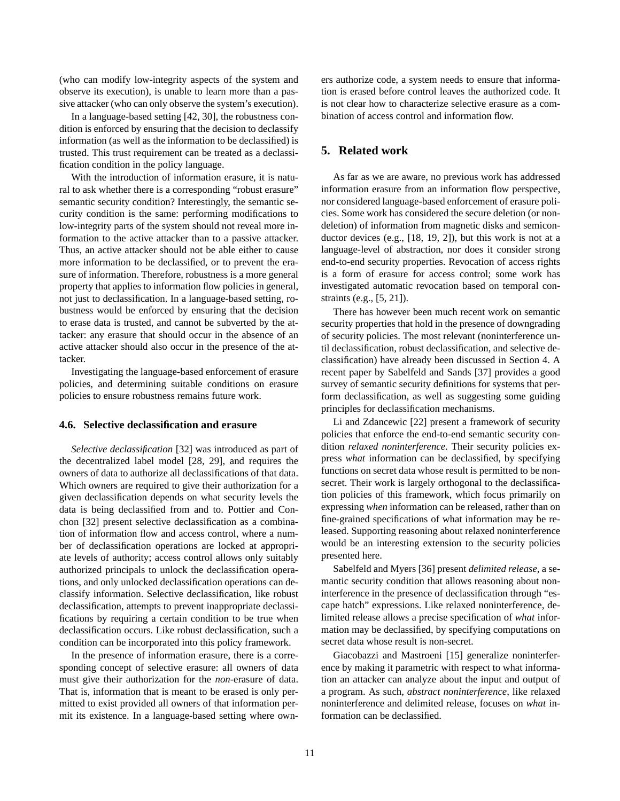(who can modify low-integrity aspects of the system and observe its execution), is unable to learn more than a passive attacker (who can only observe the system's execution).

In a language-based setting [42, 30], the robustness condition is enforced by ensuring that the decision to declassify information (as well as the information to be declassified) is trusted. This trust requirement can be treated as a declassification condition in the policy language.

With the introduction of information erasure, it is natural to ask whether there is a corresponding "robust erasure" semantic security condition? Interestingly, the semantic security condition is the same: performing modifications to low-integrity parts of the system should not reveal more information to the active attacker than to a passive attacker. Thus, an active attacker should not be able either to cause more information to be declassified, or to prevent the erasure of information. Therefore, robustness is a more general property that applies to information flow policies in general, not just to declassification. In a language-based setting, robustness would be enforced by ensuring that the decision to erase data is trusted, and cannot be subverted by the attacker: any erasure that should occur in the absence of an active attacker should also occur in the presence of the attacker.

Investigating the language-based enforcement of erasure policies, and determining suitable conditions on erasure policies to ensure robustness remains future work.

### **4.6. Selective declassification and erasure**

*Selective declassification* [32] was introduced as part of the decentralized label model [28, 29], and requires the owners of data to authorize all declassifications of that data. Which owners are required to give their authorization for a given declassification depends on what security levels the data is being declassified from and to. Pottier and Conchon [32] present selective declassification as a combination of information flow and access control, where a number of declassification operations are locked at appropriate levels of authority; access control allows only suitably authorized principals to unlock the declassification operations, and only unlocked declassification operations can declassify information. Selective declassification, like robust declassification, attempts to prevent inappropriate declassifications by requiring a certain condition to be true when declassification occurs. Like robust declassification, such a condition can be incorporated into this policy framework.

In the presence of information erasure, there is a corresponding concept of selective erasure: all owners of data must give their authorization for the *non-*erasure of data. That is, information that is meant to be erased is only permitted to exist provided all owners of that information permit its existence. In a language-based setting where owners authorize code, a system needs to ensure that information is erased before control leaves the authorized code. It is not clear how to characterize selective erasure as a combination of access control and information flow.

# **5. Related work**

As far as we are aware, no previous work has addressed information erasure from an information flow perspective, nor considered language-based enforcement of erasure policies. Some work has considered the secure deletion (or nondeletion) of information from magnetic disks and semiconductor devices (e.g., [18, 19, 2]), but this work is not at a language-level of abstraction, nor does it consider strong end-to-end security properties. Revocation of access rights is a form of erasure for access control; some work has investigated automatic revocation based on temporal constraints (e.g., [5, 21]).

There has however been much recent work on semantic security properties that hold in the presence of downgrading of security policies. The most relevant (noninterference until declassification, robust declassification, and selective declassification) have already been discussed in Section 4. A recent paper by Sabelfeld and Sands [37] provides a good survey of semantic security definitions for systems that perform declassification, as well as suggesting some guiding principles for declassification mechanisms.

Li and Zdancewic [22] present a framework of security policies that enforce the end-to-end semantic security condition *relaxed noninterference*. Their security policies express *what* information can be declassified, by specifying functions on secret data whose result is permitted to be nonsecret. Their work is largely orthogonal to the declassification policies of this framework, which focus primarily on expressing *when* information can be released, rather than on fine-grained specifications of what information may be released. Supporting reasoning about relaxed noninterference would be an interesting extension to the security policies presented here.

Sabelfeld and Myers [36] present *delimited release*, a semantic security condition that allows reasoning about noninterference in the presence of declassification through "escape hatch" expressions. Like relaxed noninterference, delimited release allows a precise specification of *what* information may be declassified, by specifying computations on secret data whose result is non-secret.

Giacobazzi and Mastroeni [15] generalize noninterference by making it parametric with respect to what information an attacker can analyze about the input and output of a program. As such, *abstract noninterference*, like relaxed noninterference and delimited release, focuses on *what* information can be declassified.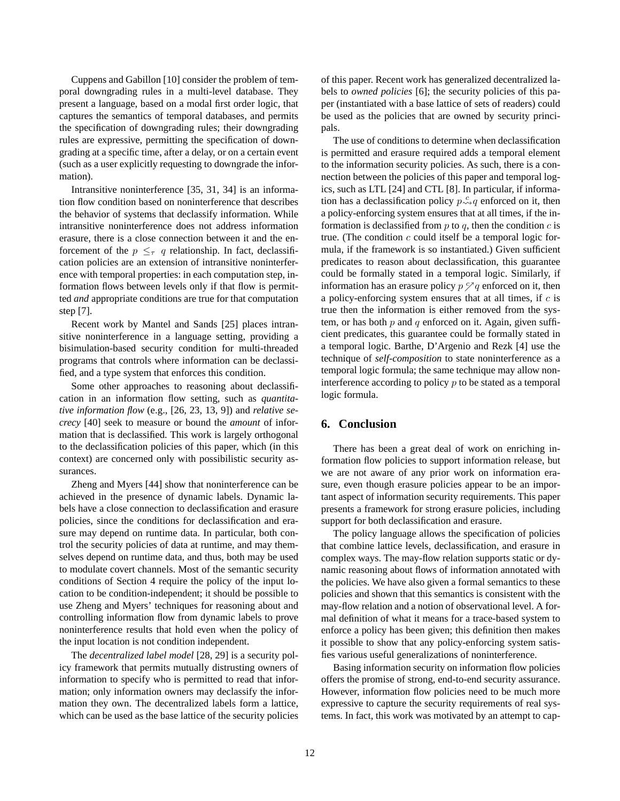Cuppens and Gabillon [10] consider the problem of temporal downgrading rules in a multi-level database. They present a language, based on a modal first order logic, that captures the semantics of temporal databases, and permits the specification of downgrading rules; their downgrading rules are expressive, permitting the specification of downgrading at a specific time, after a delay, or on a certain event (such as a user explicitly requesting to downgrade the information).

Intransitive noninterference [35, 31, 34] is an information flow condition based on noninterference that describes the behavior of systems that declassify information. While intransitive noninterference does not address information erasure, there is a close connection between it and the enforcement of the  $p \leq_{\tau} q$  relationship. In fact, declassification policies are an extension of intransitive noninterference with temporal properties: in each computation step, information flows between levels only if that flow is permitted *and* appropriate conditions are true for that computation step [7].

Recent work by Mantel and Sands [25] places intransitive noninterference in a language setting, providing a bisimulation-based security condition for multi-threaded programs that controls where information can be declassified, and a type system that enforces this condition.

Some other approaches to reasoning about declassification in an information flow setting, such as *quantitative information flow* (e.g., [26, 23, 13, 9]) and *relative secrecy* [40] seek to measure or bound the *amount* of information that is declassified. This work is largely orthogonal to the declassification policies of this paper, which (in this context) are concerned only with possibilistic security assurances.

Zheng and Myers [44] show that noninterference can be achieved in the presence of dynamic labels. Dynamic labels have a close connection to declassification and erasure policies, since the conditions for declassification and erasure may depend on runtime data. In particular, both control the security policies of data at runtime, and may themselves depend on runtime data, and thus, both may be used to modulate covert channels. Most of the semantic security conditions of Section 4 require the policy of the input location to be condition-independent; it should be possible to use Zheng and Myers' techniques for reasoning about and controlling information flow from dynamic labels to prove noninterference results that hold even when the policy of the input location is not condition independent.

The *decentralized label model* [28, 29] is a security policy framework that permits mutually distrusting owners of information to specify who is permitted to read that information; only information owners may declassify the information they own. The decentralized labels form a lattice, which can be used as the base lattice of the security policies

of this paper. Recent work has generalized decentralized labels to *owned policies* [6]; the security policies of this paper (instantiated with a base lattice of sets of readers) could be used as the policies that are owned by security principals.

The use of conditions to determine when declassification is permitted and erasure required adds a temporal element to the information security policies. As such, there is a connection between the policies of this paper and temporal logics, such as LTL [24] and CTL [8]. In particular, if information has a declassification policy  $p \rightarrow q$  enforced on it, then a policy-enforcing system ensures that at all times, if the information is declassified from  $p$  to  $q$ , then the condition  $c$  is true. (The condition  $c$  could itself be a temporal logic formula, if the framework is so instantiated.) Given sufficient predicates to reason about declassification, this guarantee could be formally stated in a temporal logic. Similarly, if information has an erasure policy  $p \nless q$  enforced on it, then a policy-enforcing system ensures that at all times, if  $c$  is true then the information is either removed from the system, or has both  $p$  and  $q$  enforced on it. Again, given sufficient predicates, this guarantee could be formally stated in a temporal logic. Barthe, D'Argenio and Rezk [4] use the technique of *self-composition* to state noninterference as a temporal logic formula; the same technique may allow noninterference according to policy  $p$  to be stated as a temporal logic formula.

# **6. Conclusion**

There has been a great deal of work on enriching information flow policies to support information release, but we are not aware of any prior work on information erasure, even though erasure policies appear to be an important aspect of information security requirements. This paper presents a framework for strong erasure policies, including support for both declassification and erasure.

The policy language allows the specification of policies that combine lattice levels, declassification, and erasure in complex ways. The may-flow relation supports static or dynamic reasoning about flows of information annotated with the policies. We have also given a formal semantics to these policies and shown that this semantics is consistent with the may-flow relation and a notion of observational level. A formal definition of what it means for a trace-based system to enforce a policy has been given; this definition then makes it possible to show that any policy-enforcing system satisfies various useful generalizations of noninterference.

Basing information security on information flow policies offers the promise of strong, end-to-end security assurance. However, information flow policies need to be much more expressive to capture the security requirements of real systems. In fact, this work was motivated by an attempt to cap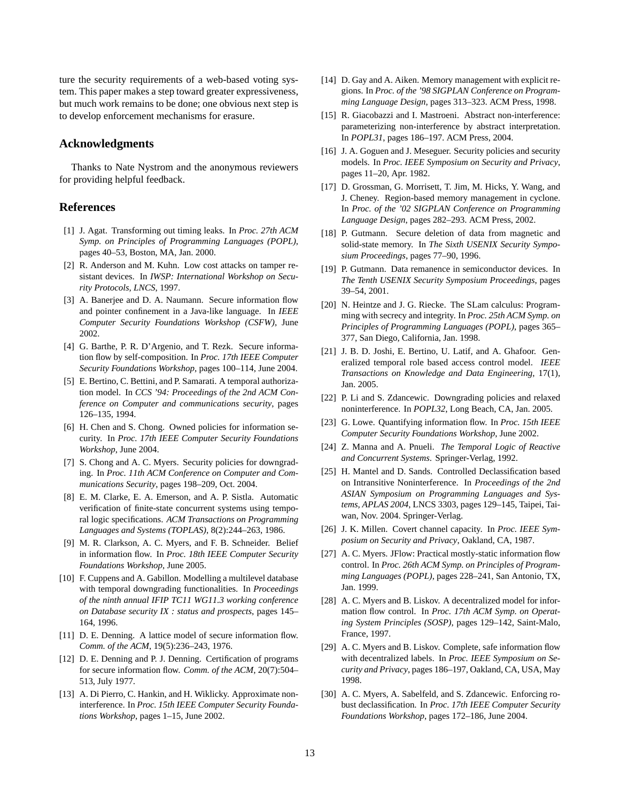ture the security requirements of a web-based voting system. This paper makes a step toward greater expressiveness, but much work remains to be done; one obvious next step is to develop enforcement mechanisms for erasure.

### **Acknowledgments**

Thanks to Nate Nystrom and the anonymous reviewers for providing helpful feedback.

# **References**

- [1] J. Agat. Transforming out timing leaks. In *Proc. 27th ACM Symp. on Principles of Programming Languages (POPL)*, pages 40–53, Boston, MA, Jan. 2000.
- [2] R. Anderson and M. Kuhn. Low cost attacks on tamper resistant devices. In *IWSP: International Workshop on Security Protocols, LNCS*, 1997.
- [3] A. Banerjee and D. A. Naumann. Secure information flow and pointer confinement in a Java-like language. In *IEEE Computer Security Foundations Workshop (CSFW)*, June 2002.
- [4] G. Barthe, P. R. D'Argenio, and T. Rezk. Secure information flow by self-composition. In *Proc. 17th IEEE Computer Security Foundations Workshop*, pages 100–114, June 2004.
- [5] E. Bertino, C. Bettini, and P. Samarati. A temporal authorization model. In *CCS '94: Proceedings of the 2nd ACM Conference on Computer and communications security*, pages 126–135, 1994.
- [6] H. Chen and S. Chong. Owned policies for information security. In *Proc. 17th IEEE Computer Security Foundations Workshop*, June 2004.
- [7] S. Chong and A. C. Myers. Security policies for downgrading. In *Proc. 11th ACM Conference on Computer and Communications Security*, pages 198–209, Oct. 2004.
- [8] E. M. Clarke, E. A. Emerson, and A. P. Sistla. Automatic verification of finite-state concurrent systems using temporal logic specifications. *ACM Transactions on Programming Languages and Systems (TOPLAS)*, 8(2):244–263, 1986.
- [9] M. R. Clarkson, A. C. Myers, and F. B. Schneider. Belief in information flow. In *Proc. 18th IEEE Computer Security Foundations Workshop*, June 2005.
- [10] F. Cuppens and A. Gabillon. Modelling a multilevel database with temporal downgrading functionalities. In *Proceedings of the ninth annual IFIP TC11 WG11.3 working conference on Database security IX : status and prospects*, pages 145– 164, 1996.
- [11] D. E. Denning. A lattice model of secure information flow. *Comm. of the ACM*, 19(5):236–243, 1976.
- [12] D. E. Denning and P. J. Denning. Certification of programs for secure information flow. *Comm. of the ACM*, 20(7):504– 513, July 1977.
- [13] A. Di Pierro, C. Hankin, and H. Wiklicky. Approximate noninterference. In *Proc. 15th IEEE Computer Security Foundations Workshop*, pages 1–15, June 2002.
- [14] D. Gay and A. Aiken. Memory management with explicit regions. In *Proc. of the '98 SIGPLAN Conference on Programming Language Design*, pages 313–323. ACM Press, 1998.
- [15] R. Giacobazzi and I. Mastroeni. Abstract non-interference: parameterizing non-interference by abstract interpretation. In *POPL31*, pages 186–197. ACM Press, 2004.
- [16] J. A. Goguen and J. Meseguer. Security policies and security models. In *Proc. IEEE Symposium on Security and Privacy*, pages 11–20, Apr. 1982.
- [17] D. Grossman, G. Morrisett, T. Jim, M. Hicks, Y. Wang, and J. Cheney. Region-based memory management in cyclone. In *Proc. of the '02 SIGPLAN Conference on Programming Language Design*, pages 282–293. ACM Press, 2002.
- [18] P. Gutmann. Secure deletion of data from magnetic and solid-state memory. In *The Sixth USENIX Security Symposium Proceedings*, pages 77–90, 1996.
- [19] P. Gutmann. Data remanence in semiconductor devices. In *The Tenth USENIX Security Symposium Proceedings*, pages 39–54, 2001.
- [20] N. Heintze and J. G. Riecke. The SLam calculus: Programming with secrecy and integrity. In *Proc. 25th ACM Symp. on Principles of Programming Languages (POPL)*, pages 365– 377, San Diego, California, Jan. 1998.
- [21] J. B. D. Joshi, E. Bertino, U. Latif, and A. Ghafoor. Generalized temporal role based access control model. *IEEE Transactions on Knowledge and Data Engineering*, 17(1), Jan. 2005.
- [22] P. Li and S. Zdancewic. Downgrading policies and relaxed noninterference. In *POPL32*, Long Beach, CA, Jan. 2005.
- [23] G. Lowe. Quantifying information flow. In *Proc. 15th IEEE Computer Security Foundations Workshop*, June 2002.
- [24] Z. Manna and A. Pnueli. *The Temporal Logic of Reactive and Concurrent Systems*. Springer-Verlag, 1992.
- [25] H. Mantel and D. Sands. Controlled Declassification based on Intransitive Noninterference. In *Proceedings of the 2nd ASIAN Symposium on Programming Languages and Systems, APLAS 2004*, LNCS 3303, pages 129–145, Taipei, Taiwan, Nov. 2004. Springer-Verlag.
- [26] J. K. Millen. Covert channel capacity. In *Proc. IEEE Symposium on Security and Privacy*, Oakland, CA, 1987.
- [27] A. C. Myers. JFlow: Practical mostly-static information flow control. In *Proc. 26th ACM Symp. on Principles of Programming Languages (POPL)*, pages 228–241, San Antonio, TX, Jan. 1999.
- [28] A. C. Myers and B. Liskov. A decentralized model for information flow control. In *Proc. 17th ACM Symp. on Operating System Principles (SOSP)*, pages 129–142, Saint-Malo, France, 1997.
- [29] A. C. Myers and B. Liskov. Complete, safe information flow with decentralized labels. In *Proc. IEEE Symposium on Security and Privacy*, pages 186–197, Oakland, CA, USA, May 1998.
- [30] A. C. Myers, A. Sabelfeld, and S. Zdancewic. Enforcing robust declassification. In *Proc. 17th IEEE Computer Security Foundations Workshop*, pages 172–186, June 2004.